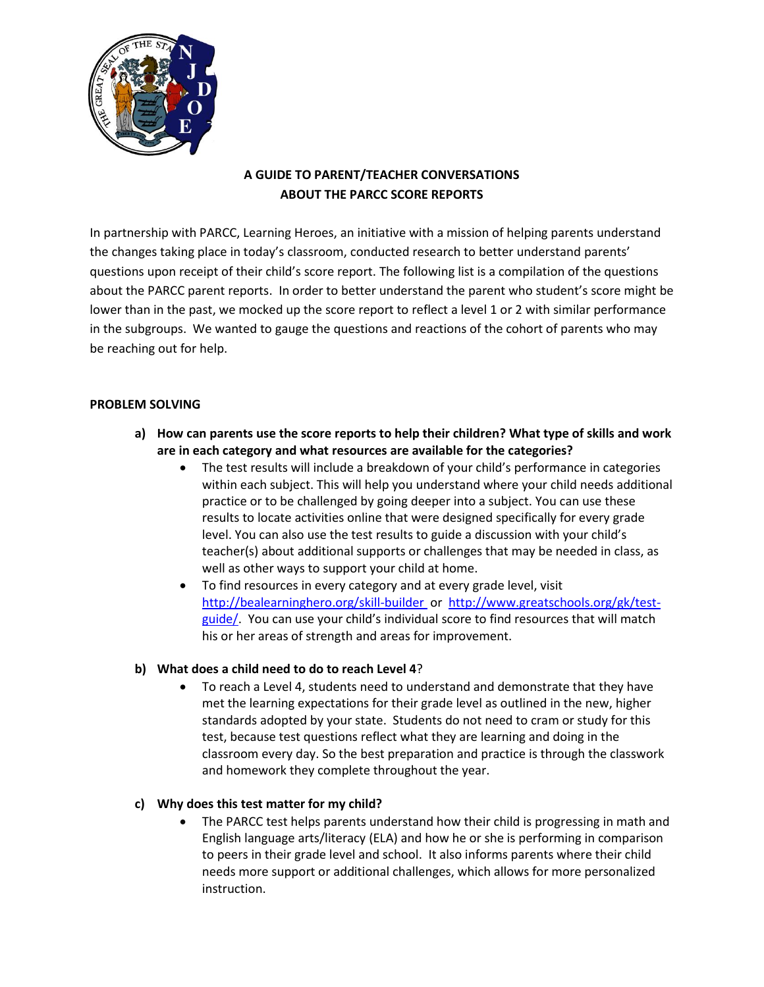

# **A GUIDE TO PARENT/TEACHER CONVERSATIONS ABOUT THE PARCC SCORE REPORTS**

In partnership with PARCC, Learning Heroes, an initiative with a mission of helping parents understand the changes taking place in today's classroom, conducted research to better understand parents' questions upon receipt of their child's score report. The following list is a compilation of the questions about the PARCC parent reports. In order to better understand the parent who student's score might be lower than in the past, we mocked up the score report to reflect a level 1 or 2 with similar performance in the subgroups. We wanted to gauge the questions and reactions of the cohort of parents who may be reaching out for help.

# **PROBLEM SOLVING**

- **a) How can parents use the score reports to help their children? What type of skills and work are in each category and what resources are available for the categories?**
	- The test results will include a breakdown of your child's performance in categories within each subject. This will help you understand where your child needs additional practice or to be challenged by going deeper into a subject. You can use these results to locate activities online that were designed specifically for every grade level. You can also use the test results to guide a discussion with your child's teacher(s) about additional supports or challenges that may be needed in class, as well as other ways to support your child at home.
	- To find resources in every category and at every grade level, visit [http://bealearninghero.org/skill-builder o](http://bealearninghero.org/skill-builder)r [http://www.greatschools.org/gk/test](http://www.greatschools.org/gk/test-guide/)[guide/.](http://www.greatschools.org/gk/test-guide/) You can use your child's individual score to find resources that will match his or her areas of strength and areas for improvement.

### **b) What does a child need to do to reach Level 4**?

 To reach a Level 4, students need to understand and demonstrate that they have met the learning expectations for their grade level as outlined in the new, higher standards adopted by your state. Students do not need to cram or study for this test, because test questions reflect what they are learning and doing in the classroom every day. So the best preparation and practice is through the classwork and homework they complete throughout the year.

### **c) Why does this test matter for my child?**

 The PARCC test helps parents understand how their child is progressing in math and English language arts/literacy (ELA) and how he or she is performing in comparison to peers in their grade level and school. It also informs parents where their child needs more support or additional challenges, which allows for more personalized instruction.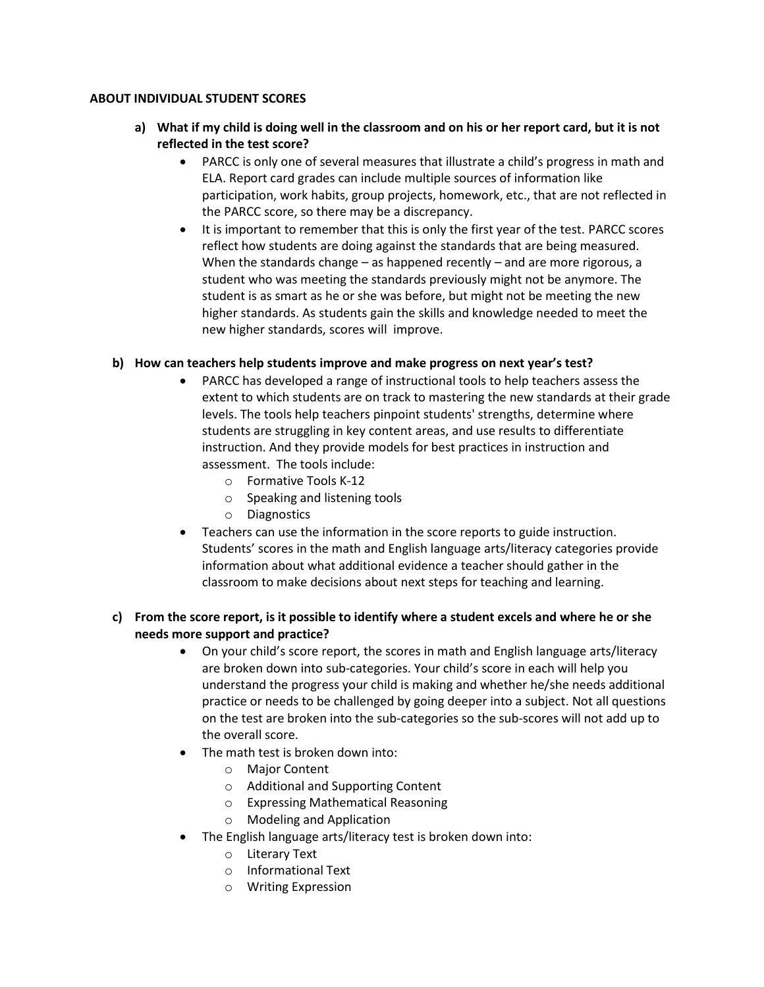### **ABOUT INDIVIDUAL STUDENT SCORES**

- **a) What if my child is doing well in the classroom and on his or her report card, but it is not reflected in the test score?**
	- PARCC is only one of several measures that illustrate a child's progress in math and ELA. Report card grades can include multiple sources of information like participation, work habits, group projects, homework, etc., that are not reflected in the PARCC score, so there may be a discrepancy.
	- It is important to remember that this is only the first year of the test. PARCC scores reflect how students are doing against the standards that are being measured. When the standards change – as happened recently – and are more rigorous, a student who was meeting the standards previously might not be anymore. The student is as smart as he or she was before, but might not be meeting the new higher standards. As students gain the skills and knowledge needed to meet the new higher standards, scores will improve.

### **b) How can teachers help students improve and make progress on next year's test?**

- PARCC has developed a range of instructional tools to help teachers assess the extent to which students are on track to mastering the new standards at their grade levels. The tools help teachers pinpoint students' strengths, determine where students are struggling in key content areas, and use results to differentiate instruction. And they provide models for best practices in instruction and assessment. The tools include:
	- o [Formative Tools K-12](http://parcconline.org/instructional-tools/formative-tools)
	- o [Speaking and listening tools](http://parcconline.org/instructional-tools/speaking-and-listening)
	- o [Diagnostics](http://parcconline.org/instructional-tools/diagnostics)
- Teachers can use the information in the score reports to guide instruction. Students' scores in the math and English language arts/literacy categories provide information about what additional evidence a teacher should gather in the classroom to make decisions about next steps for teaching and learning.

# **c) From the score report, is it possible to identify where a student excels and where he or she needs more support and practice?**

- On your child's score report, the scores in math and English language arts/literacy are broken down into sub-categories. Your child's score in each will help you understand the progress your child is making and whether he/she needs additional practice or needs to be challenged by going deeper into a subject. Not all questions on the test are broken into the sub-categories so the sub-scores will not add up to the overall score.
- The math test is broken down into:
	- o Major Content
	- o Additional and Supporting Content
	- o Expressing Mathematical Reasoning
	- o Modeling and Application
- The English language arts/literacy test is broken down into:
	- o Literary Text
	- o Informational Text
	- o Writing Expression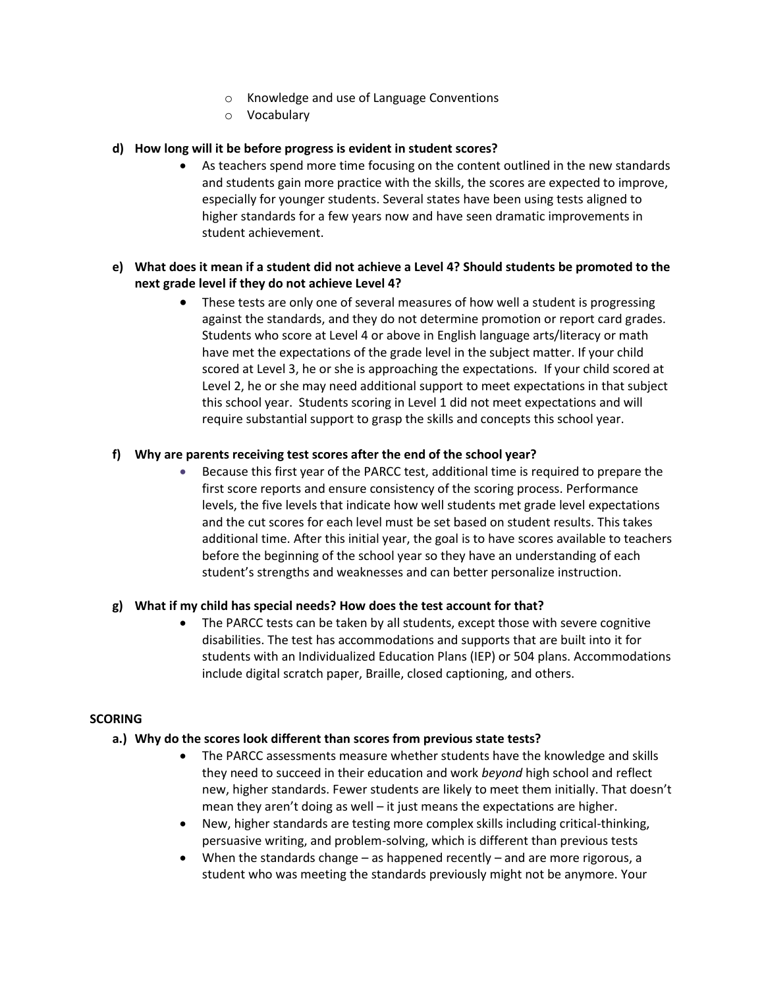- o Knowledge and use of Language Conventions
- o Vocabulary

### **d) How long will it be before progress is evident in student scores?**

 As teachers spend more time focusing on the content outlined in the new standards and students gain more practice with the skills, the scores are expected to improve, especially for younger students. Several states have been using tests aligned to higher standards for a few years now and have seen dramatic improvements in student achievement.

# **e) What does it mean if a student did not achieve a Level 4? Should students be promoted to the next grade level if they do not achieve Level 4?**

 These tests are only one of several measures of how well a student is progressing against the standards, and they do not determine promotion or report card grades. Students who score at Level 4 or above in English language arts/literacy or math have met the expectations of the grade level in the subject matter. If your child scored at Level 3, he or she is approaching the expectations. If your child scored at Level 2, he or she may need additional support to meet expectations in that subject this school year. Students scoring in Level 1 did not meet expectations and will require substantial support to grasp the skills and concepts this school year.

#### **f) Why are parents receiving test scores after the end of the school year?**

 Because this first year of the PARCC test, additional time is required to prepare the first score reports and ensure consistency of the scoring process. Performance levels, the five levels that indicate how well students met grade level expectations and the cut scores for each level must be set based on student results. This takes additional time. After this initial year, the goal is to have scores available to teachers before the beginning of the school year so they have an understanding of each student's strengths and weaknesses and can better personalize instruction.

#### **g) What if my child has special needs? How does the test account for that?**

• The PARCC tests can be taken by all students, except those with severe cognitive disabilities. The test has accommodations and supports that are built into it for students with an Individualized Education Plans (IEP) or 504 plans. Accommodations include digital scratch paper, Braille, closed captioning, and others.

#### **SCORING**

#### **a.) Why do the scores look different than scores from previous state tests?**

- The PARCC assessments measure whether students have the knowledge and skills they need to succeed in their education and work *beyond* high school and reflect new, higher standards. Fewer students are likely to meet them initially. That doesn't mean they aren't doing as well – it just means the expectations are higher.
- New, higher standards are testing more complex skills including critical-thinking, persuasive writing, and problem-solving, which is different than previous tests
- When the standards change as happened recently and are more rigorous, a student who was meeting the standards previously might not be anymore. Your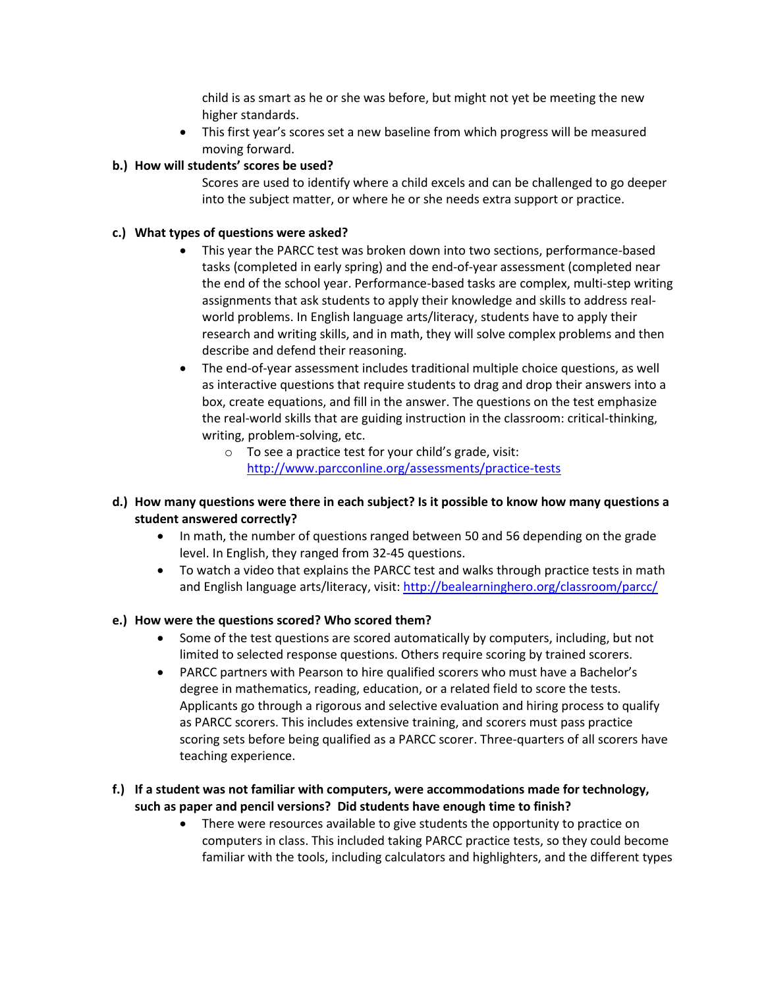child is as smart as he or she was before, but might not yet be meeting the new higher standards.

 This first year's scores set a new baseline from which progress will be measured moving forward.

# **b.) How will students' scores be used?**

Scores are used to identify where a child excels and can be challenged to go deeper into the subject matter, or where he or she needs extra support or practice.

## **c.) What types of questions were asked?**

- This year the PARCC test was broken down into two sections, performance-based tasks (completed in early spring) and the end-of-year assessment (completed near the end of the school year. Performance-based tasks are complex, multi-step writing assignments that ask students to apply their knowledge and skills to address realworld problems. In English language arts/literacy, students have to apply their research and writing skills, and in math, they will solve complex problems and then describe and defend their reasoning.
- The end-of-year assessment includes traditional multiple choice questions, as well as interactive questions that require students to drag and drop their answers into a box, create equations, and fill in the answer. The questions on the test emphasize the real-world skills that are guiding instruction in the classroom: critical-thinking, writing, problem-solving, etc.
	- o To see a practice test for your child's grade, visit: <http://www.parcconline.org/assessments/practice-tests>
- **d.) How many questions were there in each subject? Is it possible to know how many questions a student answered correctly?**
	- In math, the number of questions ranged between 50 and 56 depending on the grade level. In English, they ranged from 32-45 questions.
	- To watch a video that explains the PARCC test and walks through practice tests in math and English language arts/literacy, visit:<http://bealearninghero.org/classroom/parcc/>

### **e.) How were the questions scored? Who scored them?**

- Some of the test questions are scored automatically by computers, including, but not limited to selected response questions. Others require scoring by trained scorers.
- PARCC partners with Pearson to hire qualified scorers who must have a Bachelor's degree in mathematics, reading, education, or a related field to score the tests. Applicants go through a rigorous and selective evaluation and hiring process to qualify as PARCC scorers. This includes extensive training, and scorers must pass practice scoring sets before being qualified as a PARCC scorer. Three-quarters of all scorers have teaching experience.

# **f.) If a student was not familiar with computers, were accommodations made for technology, such as paper and pencil versions? Did students have enough time to finish?**

 There were resources available to give students the opportunity to practice on computers in class. This included taking PARCC practice tests, so they could become familiar with the tools, including calculators and highlighters, and the different types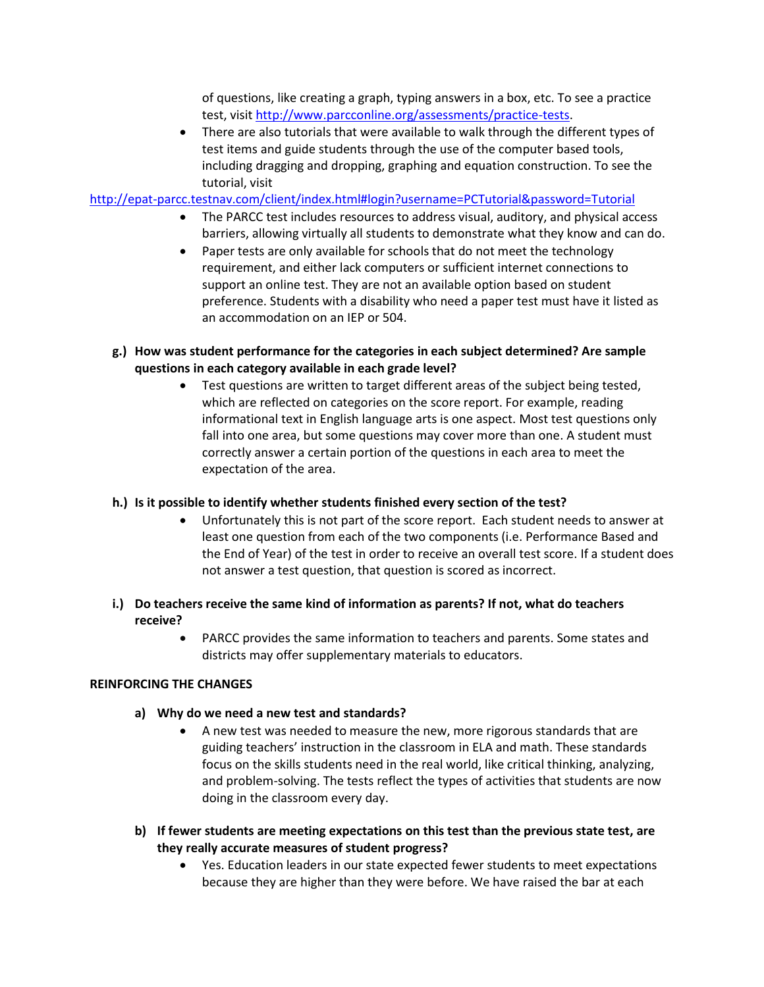of questions, like creating a graph, typing answers in a box, etc. To see a practice test, visit [http://www.parcconline.org/assessments/practice-tests.](http://www.parcconline.org/assessments/practice-tests)

 There are also tutorials that were available to walk through the different types of test items and guide students through the use of the computer based tools, including dragging and dropping, graphing and equation construction. To see the tutorial, visit

<http://epat-parcc.testnav.com/client/index.html#login?username=PCTutorial&password=Tutorial>

- The PARCC test includes resources to address visual, auditory, and physical access barriers, allowing virtually all students to demonstrate what they know and can do.
- Paper tests are only available for schools that do not meet the technology requirement, and either lack computers or sufficient internet connections to support an online test. They are not an available option based on student preference. Students with a disability who need a paper test must have it listed as an accommodation on an IEP or 504.
- **g.) How was student performance for the categories in each subject determined? Are sample questions in each category available in each grade level?**
	- Test questions are written to target different areas of the subject being tested, which are reflected on categories on the score report. For example, reading informational text in English language arts is one aspect. Most test questions only fall into one area, but some questions may cover more than one. A student must correctly answer a certain portion of the questions in each area to meet the expectation of the area.

# **h.) Is it possible to identify whether students finished every section of the test?**

- Unfortunately this is not part of the score report. Each student needs to answer at least one question from each of the two components (i.e. Performance Based and the End of Year) of the test in order to receive an overall test score. If a student does not answer a test question, that question is scored as incorrect.
- **i.) Do teachers receive the same kind of information as parents? If not, what do teachers receive?**
	- PARCC provides the same information to teachers and parents. Some states and districts may offer supplementary materials to educators.

### **REINFORCING THE CHANGES**

- **a) Why do we need a new test and standards?** 
	- A new test was needed to measure the new, more rigorous standards that are guiding teachers' instruction in the classroom in ELA and math. These standards focus on the skills students need in the real world, like critical thinking, analyzing, and problem-solving. The tests reflect the types of activities that students are now doing in the classroom every day.
- **b) If fewer students are meeting expectations on this test than the previous state test, are they really accurate measures of student progress?**
	- Yes. Education leaders in our state expected fewer students to meet expectations because they are higher than they were before. We have raised the bar at each